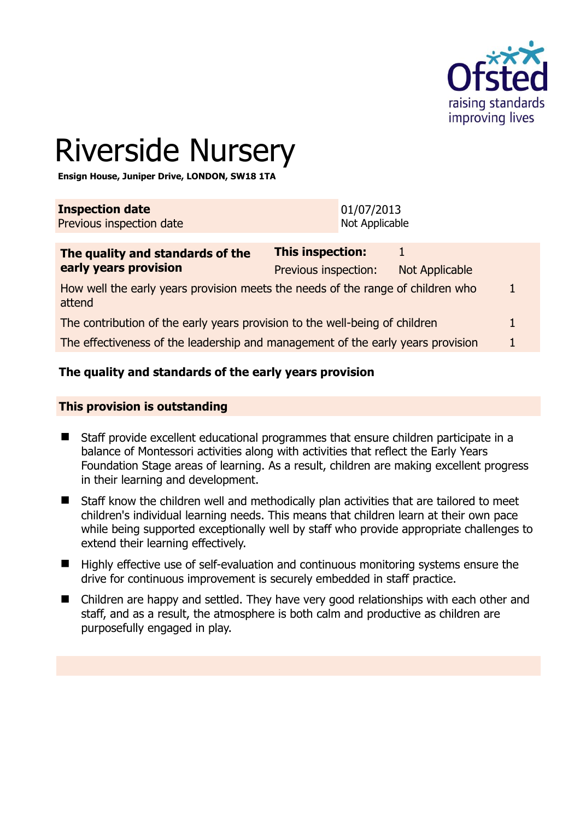

# Riverside Nursery

**Ensign House, Juniper Drive, LONDON, SW18 1TA** 

| <b>Inspection date</b>   | 01/07/2013     |
|--------------------------|----------------|
| Previous inspection date | Not Applicable |
|                          |                |

| The quality and standards of the                                                          | This inspection:     |                |  |
|-------------------------------------------------------------------------------------------|----------------------|----------------|--|
| early years provision                                                                     | Previous inspection: | Not Applicable |  |
| How well the early years provision meets the needs of the range of children who<br>attend |                      |                |  |
| The contribution of the early years provision to the well-being of children               |                      |                |  |
| The effectiveness of the leadership and management of the early years provision           |                      |                |  |

# **The quality and standards of the early years provision**

#### **This provision is outstanding**

- Staff provide excellent educational programmes that ensure children participate in a balance of Montessori activities along with activities that reflect the Early Years Foundation Stage areas of learning. As a result, children are making excellent progress in their learning and development.
- Staff know the children well and methodically plan activities that are tailored to meet children's individual learning needs. This means that children learn at their own pace while being supported exceptionally well by staff who provide appropriate challenges to extend their learning effectively.
- Highly effective use of self-evaluation and continuous monitoring systems ensure the drive for continuous improvement is securely embedded in staff practice.
- Children are happy and settled. They have very good relationships with each other and staff, and as a result, the atmosphere is both calm and productive as children are purposefully engaged in play.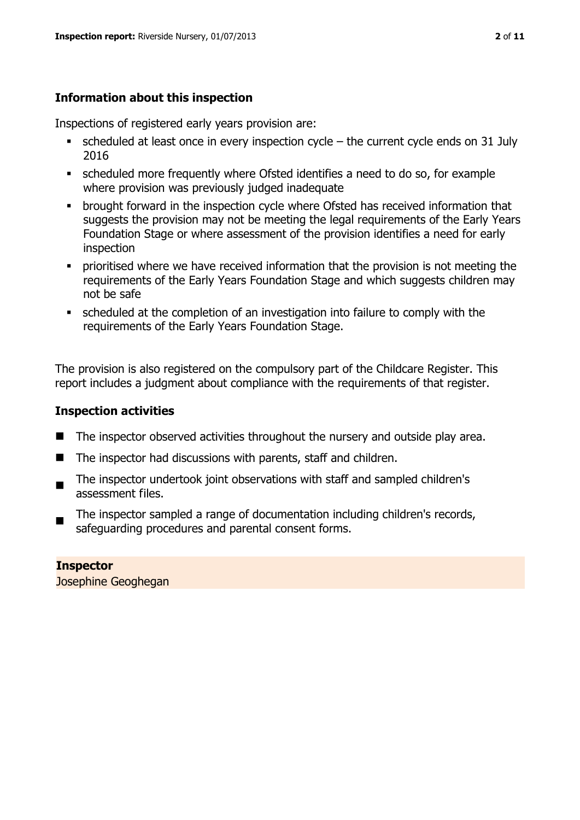# **Information about this inspection**

Inspections of registered early years provision are:

- $\bullet$  scheduled at least once in every inspection cycle the current cycle ends on 31 July 2016
- scheduled more frequently where Ofsted identifies a need to do so, for example where provision was previously judged inadequate
- **•** brought forward in the inspection cycle where Ofsted has received information that suggests the provision may not be meeting the legal requirements of the Early Years Foundation Stage or where assessment of the provision identifies a need for early inspection
- **•** prioritised where we have received information that the provision is not meeting the requirements of the Early Years Foundation Stage and which suggests children may not be safe
- scheduled at the completion of an investigation into failure to comply with the requirements of the Early Years Foundation Stage.

The provision is also registered on the compulsory part of the Childcare Register. This report includes a judgment about compliance with the requirements of that register.

# **Inspection activities**

- The inspector observed activities throughout the nursery and outside play area.
- The inspector had discussions with parents, staff and children.
- $\blacksquare$ The inspector undertook joint observations with staff and sampled children's assessment files.
- The inspector sampled a range of documentation including children's records, safeguarding procedures and parental consent forms.

#### **Inspector**  Josephine Geoghegan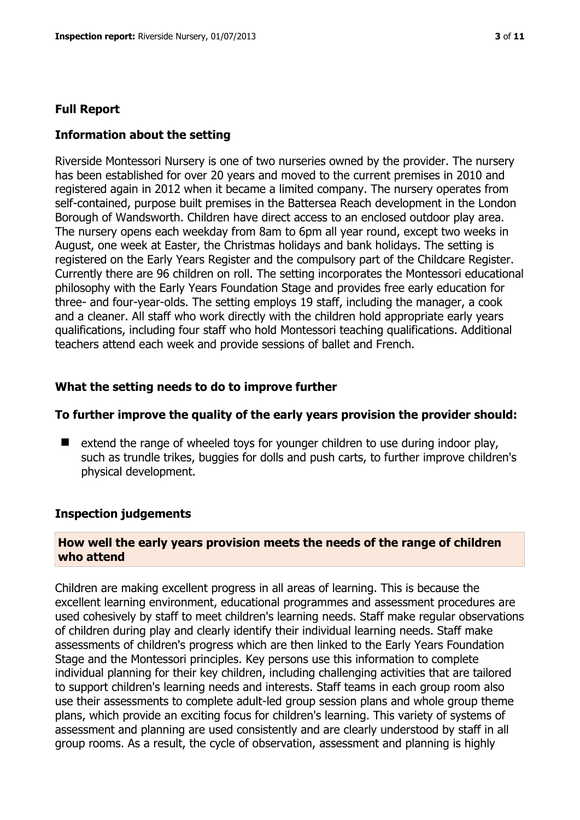#### **Full Report**

#### **Information about the setting**

Riverside Montessori Nursery is one of two nurseries owned by the provider. The nursery has been established for over 20 years and moved to the current premises in 2010 and registered again in 2012 when it became a limited company. The nursery operates from self-contained, purpose built premises in the Battersea Reach development in the London Borough of Wandsworth. Children have direct access to an enclosed outdoor play area. The nursery opens each weekday from 8am to 6pm all year round, except two weeks in August, one week at Easter, the Christmas holidays and bank holidays. The setting is registered on the Early Years Register and the compulsory part of the Childcare Register. Currently there are 96 children on roll. The setting incorporates the Montessori educational philosophy with the Early Years Foundation Stage and provides free early education for three- and four-year-olds. The setting employs 19 staff, including the manager, a cook and a cleaner. All staff who work directly with the children hold appropriate early years qualifications, including four staff who hold Montessori teaching qualifications. Additional teachers attend each week and provide sessions of ballet and French.

## **What the setting needs to do to improve further**

#### **To further improve the quality of the early years provision the provider should:**

 extend the range of wheeled toys for younger children to use during indoor play, such as trundle trikes, buggies for dolls and push carts, to further improve children's physical development.

#### **Inspection judgements**

#### **How well the early years provision meets the needs of the range of children who attend**

Children are making excellent progress in all areas of learning. This is because the excellent learning environment, educational programmes and assessment procedures are used cohesively by staff to meet children's learning needs. Staff make regular observations of children during play and clearly identify their individual learning needs. Staff make assessments of children's progress which are then linked to the Early Years Foundation Stage and the Montessori principles. Key persons use this information to complete individual planning for their key children, including challenging activities that are tailored to support children's learning needs and interests. Staff teams in each group room also use their assessments to complete adult-led group session plans and whole group theme plans, which provide an exciting focus for children's learning. This variety of systems of assessment and planning are used consistently and are clearly understood by staff in all group rooms. As a result, the cycle of observation, assessment and planning is highly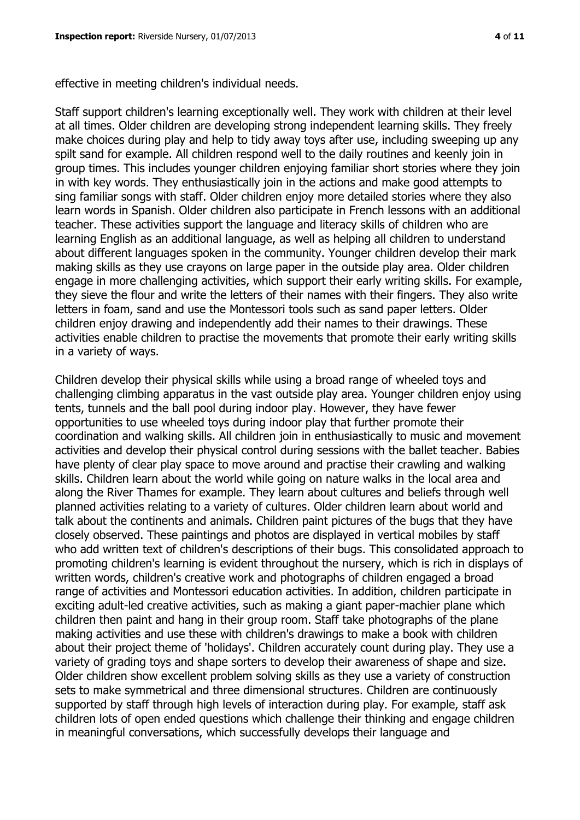effective in meeting children's individual needs.

Staff support children's learning exceptionally well. They work with children at their level at all times. Older children are developing strong independent learning skills. They freely make choices during play and help to tidy away toys after use, including sweeping up any spilt sand for example. All children respond well to the daily routines and keenly join in group times. This includes younger children enjoying familiar short stories where they join in with key words. They enthusiastically join in the actions and make good attempts to sing familiar songs with staff. Older children enjoy more detailed stories where they also learn words in Spanish. Older children also participate in French lessons with an additional teacher. These activities support the language and literacy skills of children who are learning English as an additional language, as well as helping all children to understand about different languages spoken in the community. Younger children develop their mark making skills as they use crayons on large paper in the outside play area. Older children engage in more challenging activities, which support their early writing skills. For example, they sieve the flour and write the letters of their names with their fingers. They also write letters in foam, sand and use the Montessori tools such as sand paper letters. Older children enjoy drawing and independently add their names to their drawings. These activities enable children to practise the movements that promote their early writing skills in a variety of ways.

Children develop their physical skills while using a broad range of wheeled toys and challenging climbing apparatus in the vast outside play area. Younger children enjoy using tents, tunnels and the ball pool during indoor play. However, they have fewer opportunities to use wheeled toys during indoor play that further promote their coordination and walking skills. All children join in enthusiastically to music and movement activities and develop their physical control during sessions with the ballet teacher. Babies have plenty of clear play space to move around and practise their crawling and walking skills. Children learn about the world while going on nature walks in the local area and along the River Thames for example. They learn about cultures and beliefs through well planned activities relating to a variety of cultures. Older children learn about world and talk about the continents and animals. Children paint pictures of the bugs that they have closely observed. These paintings and photos are displayed in vertical mobiles by staff who add written text of children's descriptions of their bugs. This consolidated approach to promoting children's learning is evident throughout the nursery, which is rich in displays of written words, children's creative work and photographs of children engaged a broad range of activities and Montessori education activities. In addition, children participate in exciting adult-led creative activities, such as making a giant paper-machier plane which children then paint and hang in their group room. Staff take photographs of the plane making activities and use these with children's drawings to make a book with children about their project theme of 'holidays'. Children accurately count during play. They use a variety of grading toys and shape sorters to develop their awareness of shape and size. Older children show excellent problem solving skills as they use a variety of construction sets to make symmetrical and three dimensional structures. Children are continuously supported by staff through high levels of interaction during play. For example, staff ask children lots of open ended questions which challenge their thinking and engage children in meaningful conversations, which successfully develops their language and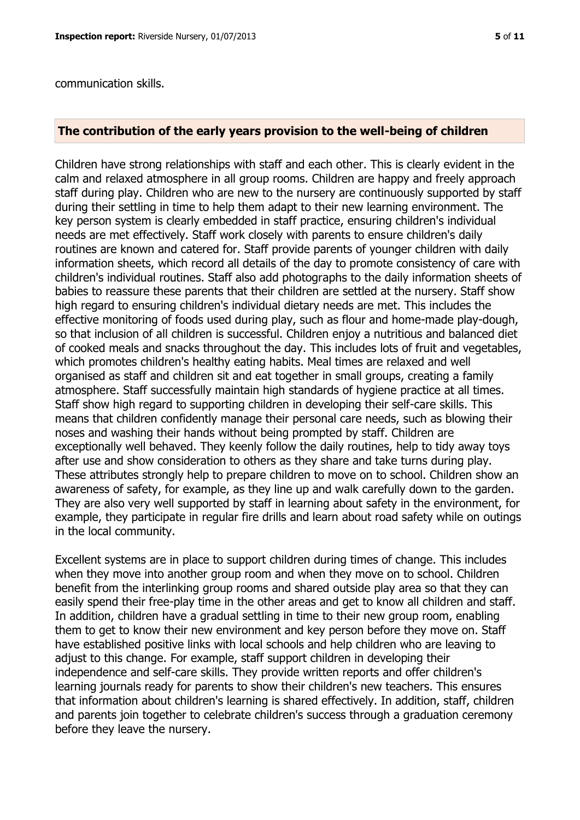#### **The contribution of the early years provision to the well-being of children**

Children have strong relationships with staff and each other. This is clearly evident in the calm and relaxed atmosphere in all group rooms. Children are happy and freely approach staff during play. Children who are new to the nursery are continuously supported by staff during their settling in time to help them adapt to their new learning environment. The key person system is clearly embedded in staff practice, ensuring children's individual needs are met effectively. Staff work closely with parents to ensure children's daily routines are known and catered for. Staff provide parents of younger children with daily information sheets, which record all details of the day to promote consistency of care with children's individual routines. Staff also add photographs to the daily information sheets of babies to reassure these parents that their children are settled at the nursery. Staff show high regard to ensuring children's individual dietary needs are met. This includes the effective monitoring of foods used during play, such as flour and home-made play-dough, so that inclusion of all children is successful. Children enjoy a nutritious and balanced diet of cooked meals and snacks throughout the day. This includes lots of fruit and vegetables, which promotes children's healthy eating habits. Meal times are relaxed and well organised as staff and children sit and eat together in small groups, creating a family atmosphere. Staff successfully maintain high standards of hygiene practice at all times. Staff show high regard to supporting children in developing their self-care skills. This means that children confidently manage their personal care needs, such as blowing their noses and washing their hands without being prompted by staff. Children are exceptionally well behaved. They keenly follow the daily routines, help to tidy away toys after use and show consideration to others as they share and take turns during play. These attributes strongly help to prepare children to move on to school. Children show an awareness of safety, for example, as they line up and walk carefully down to the garden. They are also very well supported by staff in learning about safety in the environment, for example, they participate in regular fire drills and learn about road safety while on outings in the local community.

Excellent systems are in place to support children during times of change. This includes when they move into another group room and when they move on to school. Children benefit from the interlinking group rooms and shared outside play area so that they can easily spend their free-play time in the other areas and get to know all children and staff. In addition, children have a gradual settling in time to their new group room, enabling them to get to know their new environment and key person before they move on. Staff have established positive links with local schools and help children who are leaving to adjust to this change. For example, staff support children in developing their independence and self-care skills. They provide written reports and offer children's learning journals ready for parents to show their children's new teachers. This ensures that information about children's learning is shared effectively. In addition, staff, children and parents join together to celebrate children's success through a graduation ceremony before they leave the nursery.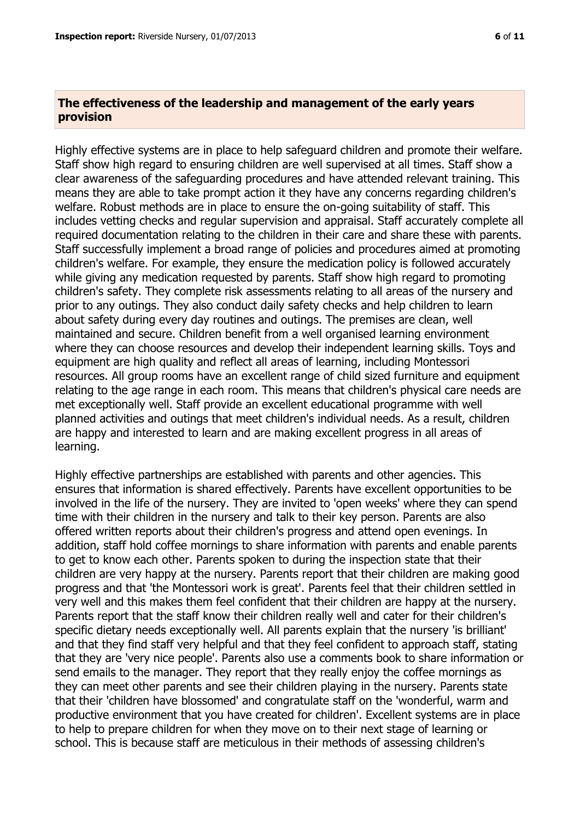#### **The effectiveness of the leadership and management of the early years provision**

Highly effective systems are in place to help safeguard children and promote their welfare. Staff show high regard to ensuring children are well supervised at all times. Staff show a clear awareness of the safeguarding procedures and have attended relevant training. This means they are able to take prompt action it they have any concerns regarding children's welfare. Robust methods are in place to ensure the on-going suitability of staff. This includes vetting checks and regular supervision and appraisal. Staff accurately complete all required documentation relating to the children in their care and share these with parents. Staff successfully implement a broad range of policies and procedures aimed at promoting children's welfare. For example, they ensure the medication policy is followed accurately while giving any medication requested by parents. Staff show high regard to promoting children's safety. They complete risk assessments relating to all areas of the nursery and prior to any outings. They also conduct daily safety checks and help children to learn about safety during every day routines and outings. The premises are clean, well maintained and secure. Children benefit from a well organised learning environment where they can choose resources and develop their independent learning skills. Toys and equipment are high quality and reflect all areas of learning, including Montessori resources. All group rooms have an excellent range of child sized furniture and equipment relating to the age range in each room. This means that children's physical care needs are met exceptionally well. Staff provide an excellent educational programme with well planned activities and outings that meet children's individual needs. As a result, children are happy and interested to learn and are making excellent progress in all areas of learning.

Highly effective partnerships are established with parents and other agencies. This ensures that information is shared effectively. Parents have excellent opportunities to be involved in the life of the nursery. They are invited to 'open weeks' where they can spend time with their children in the nursery and talk to their key person. Parents are also offered written reports about their children's progress and attend open evenings. In addition, staff hold coffee mornings to share information with parents and enable parents to get to know each other. Parents spoken to during the inspection state that their children are very happy at the nursery. Parents report that their children are making good progress and that 'the Montessori work is great'. Parents feel that their children settled in very well and this makes them feel confident that their children are happy at the nursery. Parents report that the staff know their children really well and cater for their children's specific dietary needs exceptionally well. All parents explain that the nursery 'is brilliant' and that they find staff very helpful and that they feel confident to approach staff, stating that they are 'very nice people'. Parents also use a comments book to share information or send emails to the manager. They report that they really enjoy the coffee mornings as they can meet other parents and see their children playing in the nursery. Parents state that their 'children have blossomed' and congratulate staff on the 'wonderful, warm and productive environment that you have created for children'. Excellent systems are in place to help to prepare children for when they move on to their next stage of learning or school. This is because staff are meticulous in their methods of assessing children's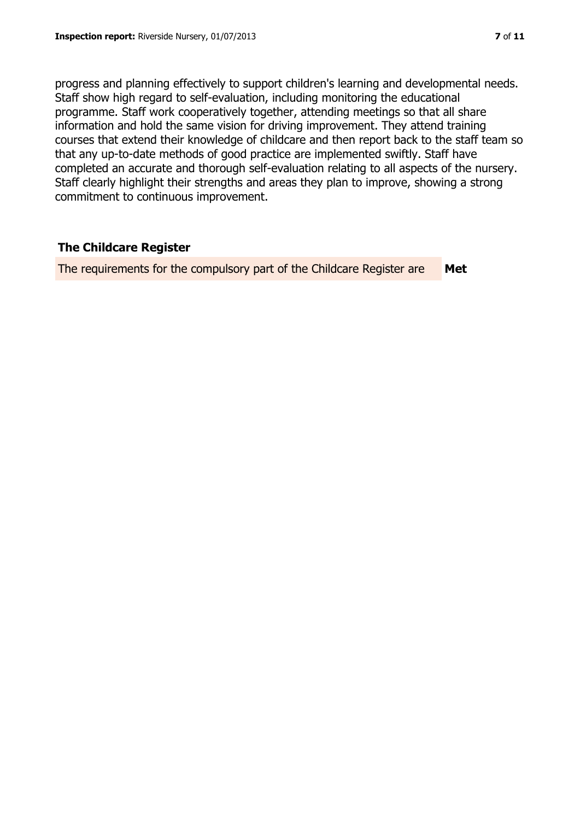progress and planning effectively to support children's learning and developmental needs. Staff show high regard to self-evaluation, including monitoring the educational programme. Staff work cooperatively together, attending meetings so that all share information and hold the same vision for driving improvement. They attend training courses that extend their knowledge of childcare and then report back to the staff team so that any up-to-date methods of good practice are implemented swiftly. Staff have completed an accurate and thorough self-evaluation relating to all aspects of the nursery. Staff clearly highlight their strengths and areas they plan to improve, showing a strong commitment to continuous improvement.

# **The Childcare Register**

The requirements for the compulsory part of the Childcare Register are **Met**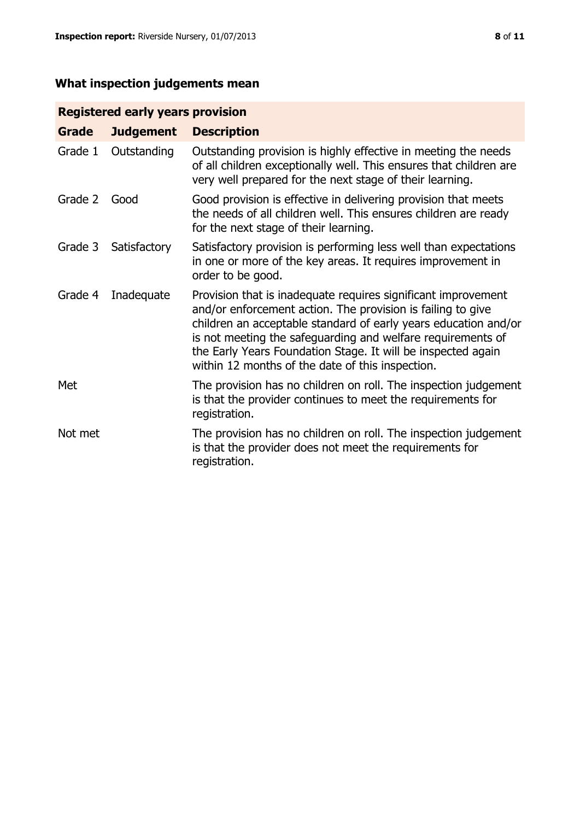# **What inspection judgements mean**

# **Registered early years provision**

| <b>Grade</b> | <b>Judgement</b> | <b>Description</b>                                                                                                                                                                                                                                                                                                                                                                 |
|--------------|------------------|------------------------------------------------------------------------------------------------------------------------------------------------------------------------------------------------------------------------------------------------------------------------------------------------------------------------------------------------------------------------------------|
| Grade 1      | Outstanding      | Outstanding provision is highly effective in meeting the needs<br>of all children exceptionally well. This ensures that children are<br>very well prepared for the next stage of their learning.                                                                                                                                                                                   |
| Grade 2      | Good             | Good provision is effective in delivering provision that meets<br>the needs of all children well. This ensures children are ready<br>for the next stage of their learning.                                                                                                                                                                                                         |
| Grade 3      | Satisfactory     | Satisfactory provision is performing less well than expectations<br>in one or more of the key areas. It requires improvement in<br>order to be good.                                                                                                                                                                                                                               |
| Grade 4      | Inadequate       | Provision that is inadequate requires significant improvement<br>and/or enforcement action. The provision is failing to give<br>children an acceptable standard of early years education and/or<br>is not meeting the safeguarding and welfare requirements of<br>the Early Years Foundation Stage. It will be inspected again<br>within 12 months of the date of this inspection. |
| Met          |                  | The provision has no children on roll. The inspection judgement<br>is that the provider continues to meet the requirements for<br>registration.                                                                                                                                                                                                                                    |
| Not met      |                  | The provision has no children on roll. The inspection judgement<br>is that the provider does not meet the requirements for<br>registration.                                                                                                                                                                                                                                        |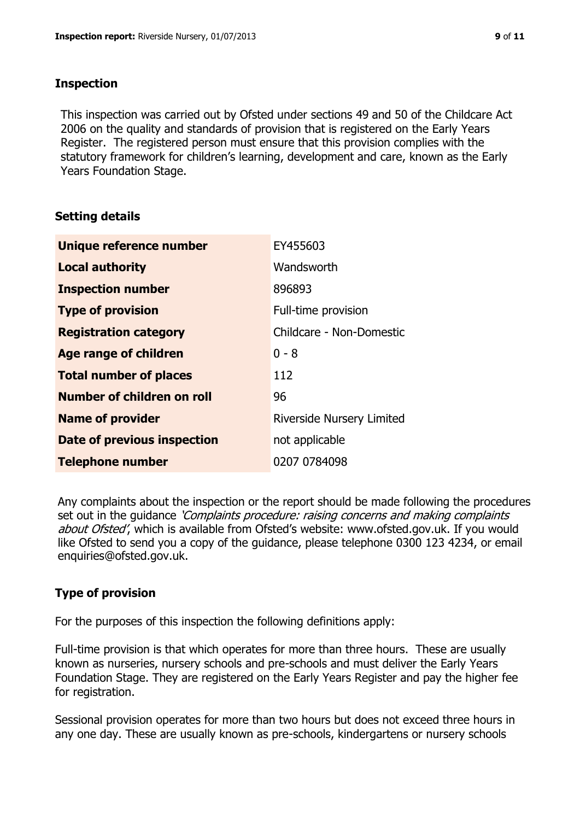## **Inspection**

This inspection was carried out by Ofsted under sections 49 and 50 of the Childcare Act 2006 on the quality and standards of provision that is registered on the Early Years Register. The registered person must ensure that this provision complies with the statutory framework for children's learning, development and care, known as the Early Years Foundation Stage.

# **Setting details**

| Unique reference number           | EY455603                         |
|-----------------------------------|----------------------------------|
| <b>Local authority</b>            | Wandsworth                       |
| <b>Inspection number</b>          | 896893                           |
| <b>Type of provision</b>          | Full-time provision              |
| <b>Registration category</b>      | Childcare - Non-Domestic         |
| <b>Age range of children</b>      | $0 - 8$                          |
| <b>Total number of places</b>     | 112                              |
| <b>Number of children on roll</b> | 96                               |
| <b>Name of provider</b>           | <b>Riverside Nursery Limited</b> |
| Date of previous inspection       | not applicable                   |
| <b>Telephone number</b>           | 0207 0784098                     |

Any complaints about the inspection or the report should be made following the procedures set out in the guidance *'Complaints procedure: raising concerns and making complaints* about Ofsted', which is available from Ofsted's website: www.ofsted.gov.uk. If you would like Ofsted to send you a copy of the guidance, please telephone 0300 123 4234, or email enquiries@ofsted.gov.uk.

# **Type of provision**

For the purposes of this inspection the following definitions apply:

Full-time provision is that which operates for more than three hours. These are usually known as nurseries, nursery schools and pre-schools and must deliver the Early Years Foundation Stage. They are registered on the Early Years Register and pay the higher fee for registration.

Sessional provision operates for more than two hours but does not exceed three hours in any one day. These are usually known as pre-schools, kindergartens or nursery schools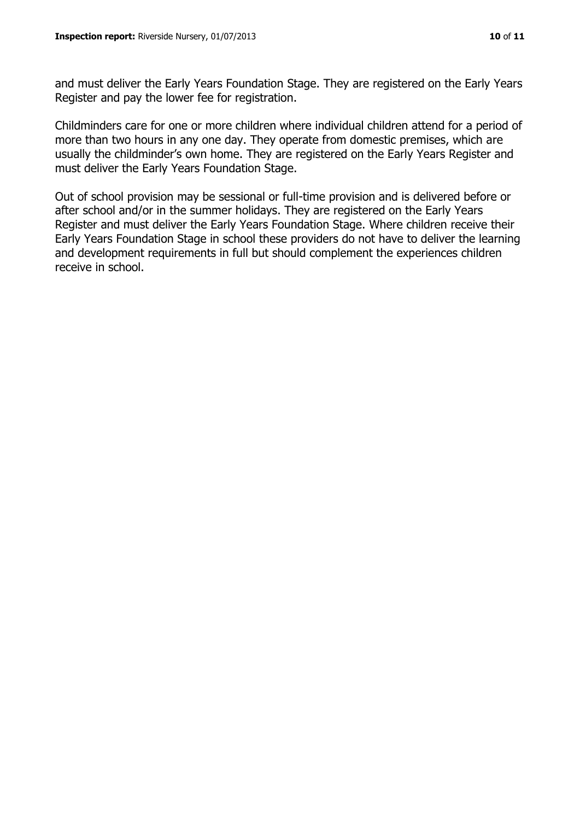and must deliver the Early Years Foundation Stage. They are registered on the Early Years Register and pay the lower fee for registration.

Childminders care for one or more children where individual children attend for a period of more than two hours in any one day. They operate from domestic premises, which are usually the childminder's own home. They are registered on the Early Years Register and must deliver the Early Years Foundation Stage.

Out of school provision may be sessional or full-time provision and is delivered before or after school and/or in the summer holidays. They are registered on the Early Years Register and must deliver the Early Years Foundation Stage. Where children receive their Early Years Foundation Stage in school these providers do not have to deliver the learning and development requirements in full but should complement the experiences children receive in school.